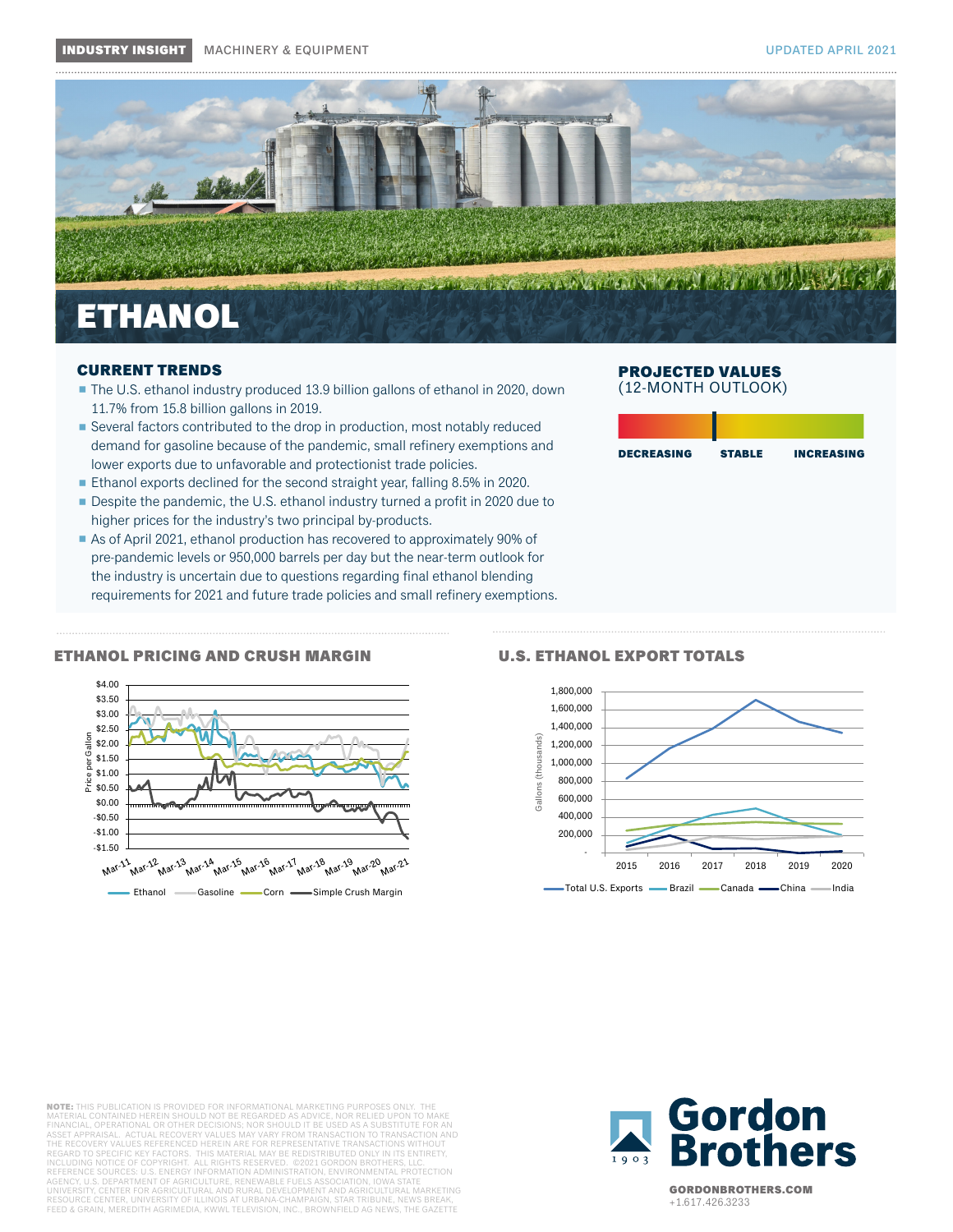

# CURRENT TRENDS

- The U.S. ethanol industry produced 13.9 billion gallons of ethanol in 2020, down 11.7% from 15.8 billion gallons in 2019.
- Several factors contributed to the drop in production, most notably reduced demand for gasoline because of the pandemic, small refinery exemptions and lower exports due to unfavorable and protectionist trade policies.
- Ethanol exports declined for the second straight year, falling 8.5% in 2020.
- Despite the pandemic, the U.S. ethanol industry turned a profit in 2020 due to higher prices for the industry's two principal by-products.
- As of April 2021, ethanol production has recovered to approximately 90% of pre-pandemic levels or 950,000 barrels per day but the near-term outlook for the industry is uncertain due to questions regarding final ethanol blending requirements for 2021 and future trade policies and small refinery exemptions.

# PROJECTED VALUES (12-MONTH OUTLOOK)

| <b>STABLE</b><br><b>INCREASING</b> |
|------------------------------------|
|                                    |
|                                    |
|                                    |
|                                    |
|                                    |

### ETHANOL PRICING AND CRUSH MARGIN U.S. ETHANOL EXPORT TOTALS





NOTE: THIS PUBLICATION IS PROVIDED FOR INFORMATIONAL MARKETING PURPOSES ONLY. MATERIAL CONTAINED HEREIN SHOULD NOT BE REGARDED AS ADVICE, NOR RELIED UPON TO MAKE<br>FINANCIAL, OPERATIONAL OR OTHER DECISIONS; NOR SHOULD IT BE USED AS A SUBSTITUTE FOR AN<br>ASSET APPRAISAL. ACTUAL RECOVERY VALUES MAY VARY THE RECOVERY VALUES REFERENCED HEREIN ARE FOR REPRESENTATIVE TRANSACTIONS WITHOUT<br>REGARD TO SPECIFIC KEY FACTORS. THIS MATERIAL MAY BE REDISTRIBUTED ONLY IN ITS ENTIRETY,<br>INCLUDING NOTICE OF COPYRIGHT. ALL RIGHTS RESERVED. AGENCY, U.S. DEPARTMENT OF AGRICULTURE, RENEWABLE FUELS ASSOCIATION, IOWA STATE<br>UNIVERSITY, CENTER FOR AGRICULTURAL AND RURAL DEVELOPMENT AND AGRICULTURAL MARKETING<br>RESOURCE CENTER, UNIVERSITY OF ILLINOIS AT URBANA-CHAMPAI FEED & GRAIN, MEREDITH AGRIMEDIA, KWWL TELEVISION, INC., BROWNFIELD AG NEWS, THE GAZETTE